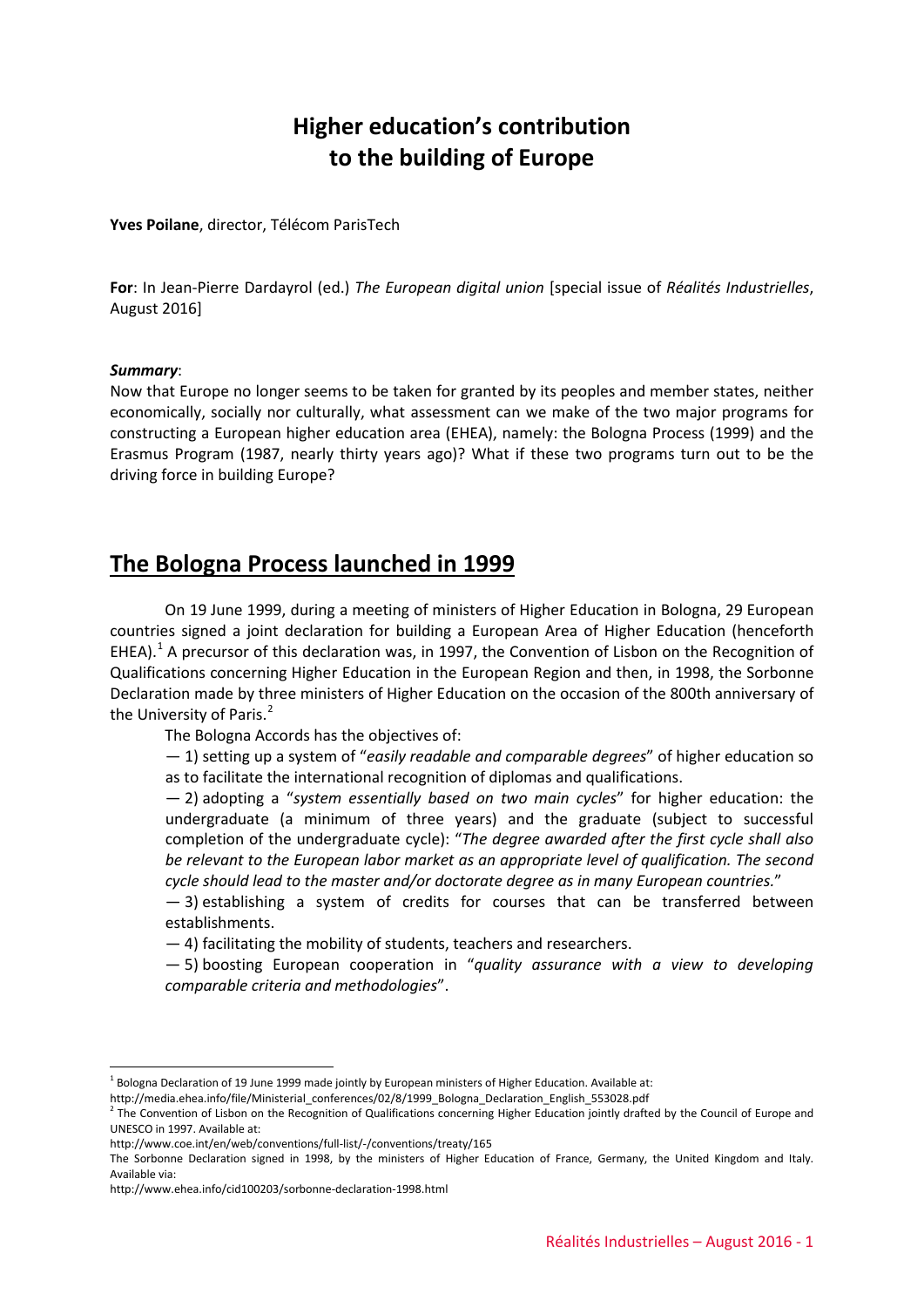# **Higher education's contribution to the building of Europe**

**Yves Poilane**, director, Télécom ParisTech

**For**: In Jean-Pierre Dardayrol (ed.) *The European digital union* [special issue of *Réalités Industrielles*, August 2016]

#### *Summary*:

Now that Europe no longer seems to be taken for granted by its peoples and member states, neither economically, socially nor culturally, what assessment can we make of the two major programs for constructing a European higher education area (EHEA), namely: the Bologna Process (1999) and the Erasmus Program (1987, nearly thirty years ago)? What if these two programs turn out to be the driving force in building Europe?

## **The Bologna Process launched in 1999**

On 19 June 1999, during a meeting of ministers of Higher Education in Bologna, 29 European countries signed a joint declaration for building a European Area of Higher Education (henceforth EHEA).<sup>[1](#page-0-0)</sup> A precursor of this declaration was, in 1997, the Convention of Lisbon on the Recognition of Qualifications concerning Higher Education in the European Region and then, in 1998, the Sorbonne Declaration made by three ministers of Higher Education on the occasion of the 800th anniversary of the University of Paris.<sup>[2](#page-0-1)</sup>

The Bologna Accords has the objectives of:

— 1) setting up a system of "*easily readable and comparable degrees*" of higher education so as to facilitate the international recognition of diplomas and qualifications.

— 2) adopting a "*system essentially based on two main cycles*" for higher education: the undergraduate (a minimum of three years) and the graduate (subject to successful completion of the undergraduate cycle): "*The degree awarded after the first cycle shall also be relevant to the European labor market as an appropriate level of qualification. The second cycle should lead to the master and/or doctorate degree as in many European countries.*"

— 3) establishing a system of credits for courses that can be transferred between establishments.

— 4) facilitating the mobility of students, teachers and researchers.

— 5) boosting European cooperation in "*quality assurance with a view to developing comparable criteria and methodologies*".

 $<sup>1</sup>$  Bologna Declaration of 19 June 1999 made jointly by European ministers of Higher Education. Available at:</sup>

<span id="page-0-0"></span>http://media.ehea.info/file/Ministerial\_conferences/02/8/1999\_Bologna\_Declaration\_English\_553028.pdf

<span id="page-0-1"></span><sup>&</sup>lt;sup>2</sup> The Convention of Lisbon on the Recognition of Qualifications concerning Higher Education jointly drafted by the Council of Europe and UNESCO in 1997. Available at:

http://www.coe.int/en/web/conventions/full-list/-/conventions/treaty/165

The Sorbonne Declaration signed in 1998, by the ministers of Higher Education of France, Germany, the United Kingdom and Italy. Available via:

http://www.ehea.info/cid100203/sorbonne-declaration-1998.html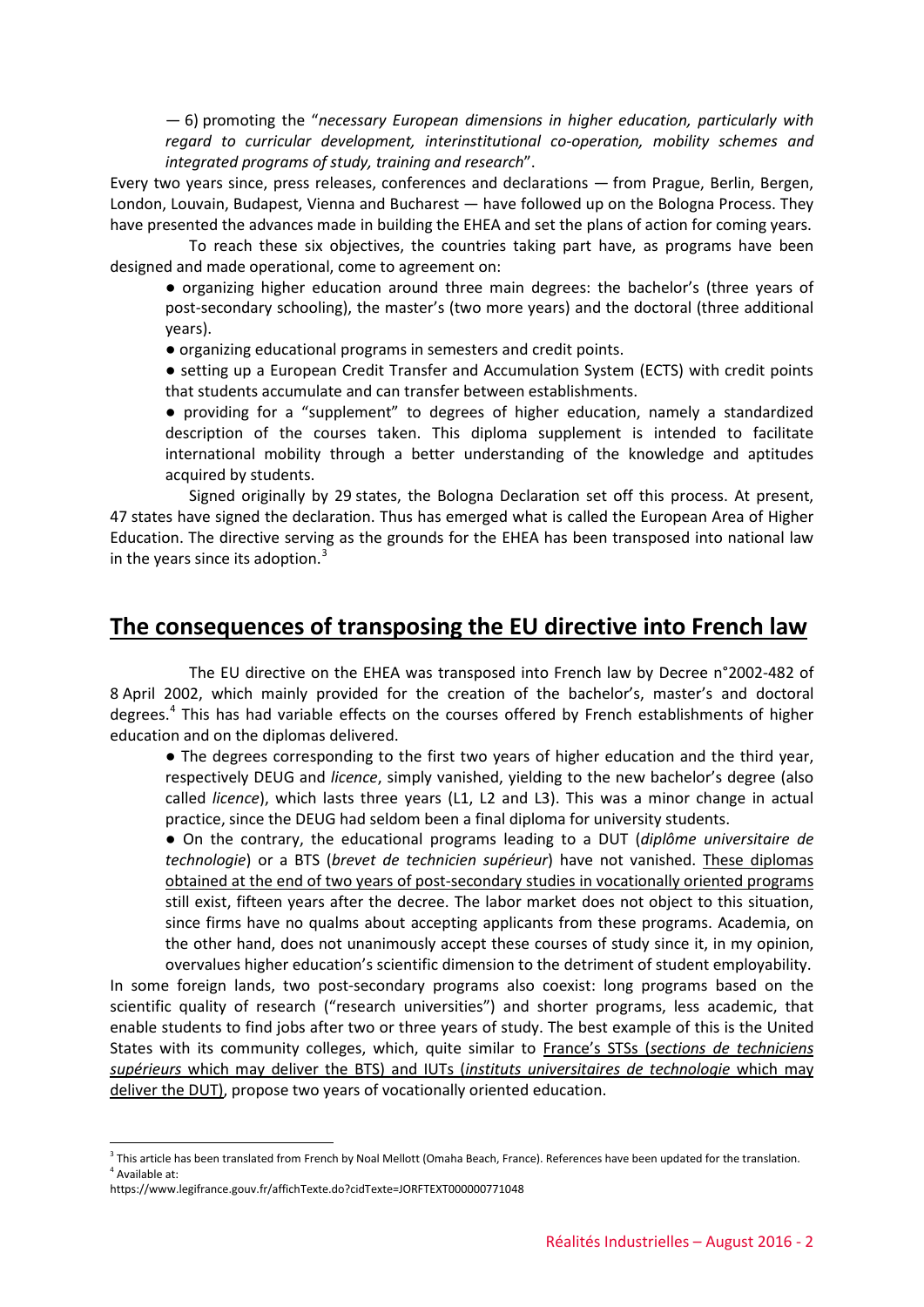— 6) promoting the "*necessary European dimensions in higher education, particularly with regard to curricular development, interinstitutional co-operation, mobility schemes and integrated programs of study, training and research*".

Every two years since, press releases, conferences and declarations — from Prague, Berlin, Bergen, London, Louvain, Budapest, Vienna and Bucharest — have followed up on the Bologna Process. They have presented the advances made in building the EHEA and set the plans of action for coming years.

To reach these six objectives, the countries taking part have, as programs have been designed and made operational, come to agreement on:

● organizing higher education around three main degrees: the bachelor's (three years of post-secondary schooling), the master's (two more years) and the doctoral (three additional years).

● organizing educational programs in semesters and credit points.

● setting up a European Credit Transfer and Accumulation System (ECTS) with credit points that students accumulate and can transfer between establishments.

● providing for a "supplement" to degrees of higher education, namely a standardized description of the courses taken. This diploma supplement is intended to facilitate international mobility through a better understanding of the knowledge and aptitudes acquired by students.

Signed originally by 29 states, the Bologna Declaration set off this process. At present, 47 states have signed the declaration. Thus has emerged what is called the European Area of Higher Education. The directive serving as the grounds for the EHEA has been transposed into national law in the years since its adoption. $3$ 

## **The consequences of transposing the EU directive into French law**

The EU directive on the EHEA was transposed into French law by Decree n°2002-482 of 8 April 2002, which mainly provided for the creation of the bachelor's, master's and doctoral degrees.[4](#page-1-1) This has had variable effects on the courses offered by French establishments of higher education and on the diplomas delivered.

● The degrees corresponding to the first two years of higher education and the third year, respectively DEUG and *licence*, simply vanished, yielding to the new bachelor's degree (also called *licence*), which lasts three years (L1, L2 and L3). This was a minor change in actual practice, since the DEUG had seldom been a final diploma for university students.

● On the contrary, the educational programs leading to a DUT (*diplôme universitaire de technologie*) or a BTS (*brevet de technicien supérieur*) have not vanished. These diplomas obtained at the end of two years of post-secondary studies in vocationally oriented programs still exist, fifteen years after the decree. The labor market does not object to this situation, since firms have no qualms about accepting applicants from these programs. Academia, on the other hand, does not unanimously accept these courses of study since it, in my opinion, overvalues higher education's scientific dimension to the detriment of student employability.

In some foreign lands, two post-secondary programs also coexist: long programs based on the scientific quality of research ("research universities") and shorter programs, less academic, that enable students to find jobs after two or three years of study. The best example of this is the United States with its community colleges, which, quite similar to France's STSs (*sections de techniciens supérieurs* which may deliver the BTS) and IUTs (*instituts universitaires de technologie* which may deliver the DUT), propose two years of vocationally oriented education.

<span id="page-1-1"></span><span id="page-1-0"></span> $3$  This article has been translated from French by Noal Mellott (Omaha Beach, France). References have been updated for the translation. <sup>4</sup> Available at:

https://www.legifrance.gouv.fr/affichTexte.do?cidTexte=JORFTEXT000000771048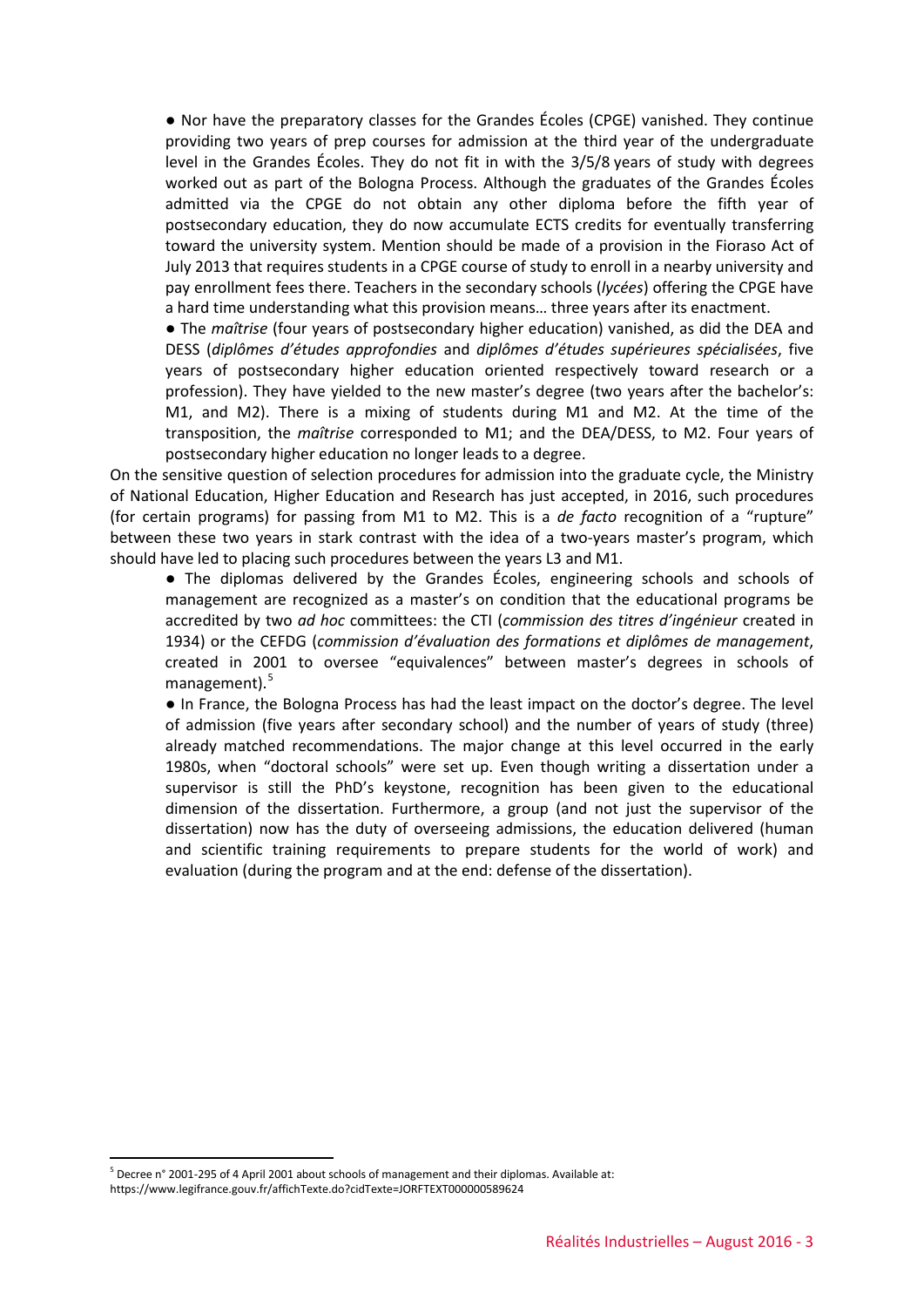● Nor have the preparatory classes for the Grandes Écoles (CPGE) vanished. They continue providing two years of prep courses for admission at the third year of the undergraduate level in the Grandes Écoles. They do not fit in with the 3/5/8 years of study with degrees worked out as part of the Bologna Process. Although the graduates of the Grandes Écoles admitted via the CPGE do not obtain any other diploma before the fifth year of postsecondary education, they do now accumulate ECTS credits for eventually transferring toward the university system. Mention should be made of a provision in the Fioraso Act of July 2013 that requires students in a CPGE course of study to enroll in a nearby university and pay enrollment fees there. Teachers in the secondary schools (*lycées*) offering the CPGE have a hard time understanding what this provision means… three years after its enactment.

● The *maîtrise* (four years of postsecondary higher education) vanished, as did the DEA and DESS (*diplômes d'études approfondies* and *diplômes d'études supérieures spécialisées*, five years of postsecondary higher education oriented respectively toward research or a profession). They have yielded to the new master's degree (two years after the bachelor's: M1, and M2). There is a mixing of students during M1 and M2. At the time of the transposition, the *maîtrise* corresponded to M1; and the DEA/DESS, to M2. Four years of postsecondary higher education no longer leads to a degree.

On the sensitive question of selection procedures for admission into the graduate cycle, the Ministry of National Education, Higher Education and Research has just accepted, in 2016, such procedures (for certain programs) for passing from M1 to M2. This is a *de facto* recognition of a "rupture" between these two years in stark contrast with the idea of a two-years master's program, which should have led to placing such procedures between the years L3 and M1.

● The diplomas delivered by the Grandes Écoles, engineering schools and schools of management are recognized as a master's on condition that the educational programs be accredited by two *ad hoc* committees: the CTI (*commission des titres d'ingénieur* created in 1934) or the CEFDG (*commission d'évaluation des formations et diplômes de management*, created in 2001 to oversee "equivalences" between master's degrees in schools of management). $5$ 

● In France, the Bologna Process has had the least impact on the doctor's degree. The level of admission (five years after secondary school) and the number of years of study (three) already matched recommendations. The major change at this level occurred in the early 1980s, when "doctoral schools" were set up. Even though writing a dissertation under a supervisor is still the PhD's keystone, recognition has been given to the educational dimension of the dissertation. Furthermore, a group (and not just the supervisor of the dissertation) now has the duty of overseeing admissions, the education delivered (human and scientific training requirements to prepare students for the world of work) and evaluation (during the program and at the end: defense of the dissertation).

<span id="page-2-0"></span> <sup>5</sup> Decree n° 2001-295 of 4 April 2001 about schools of management and their diplomas. Available at:

https://www.legifrance.gouv.fr/affichTexte.do?cidTexte=JORFTEXT000000589624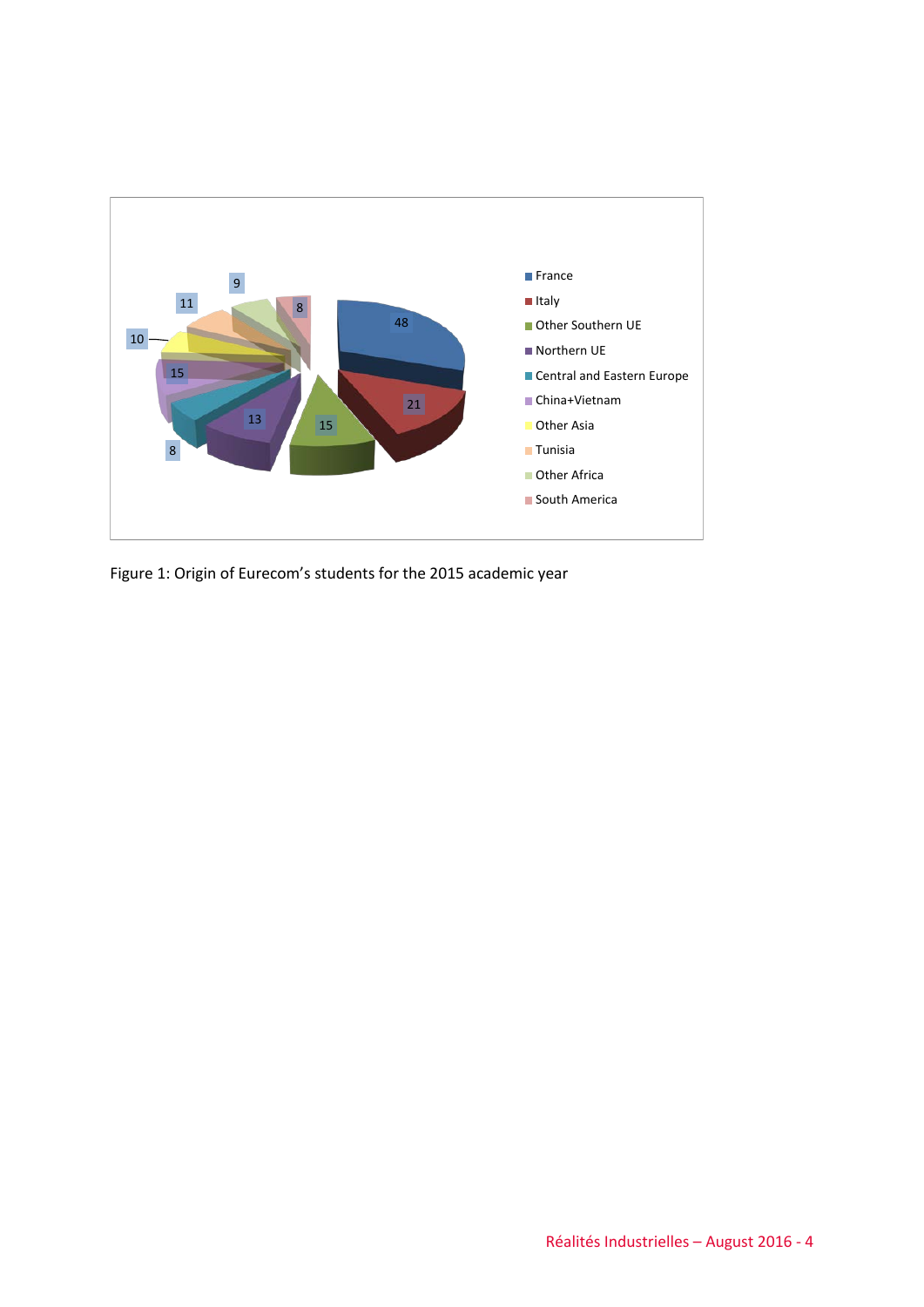

Figure 1: Origin of Eurecom's students for the 2015 academic year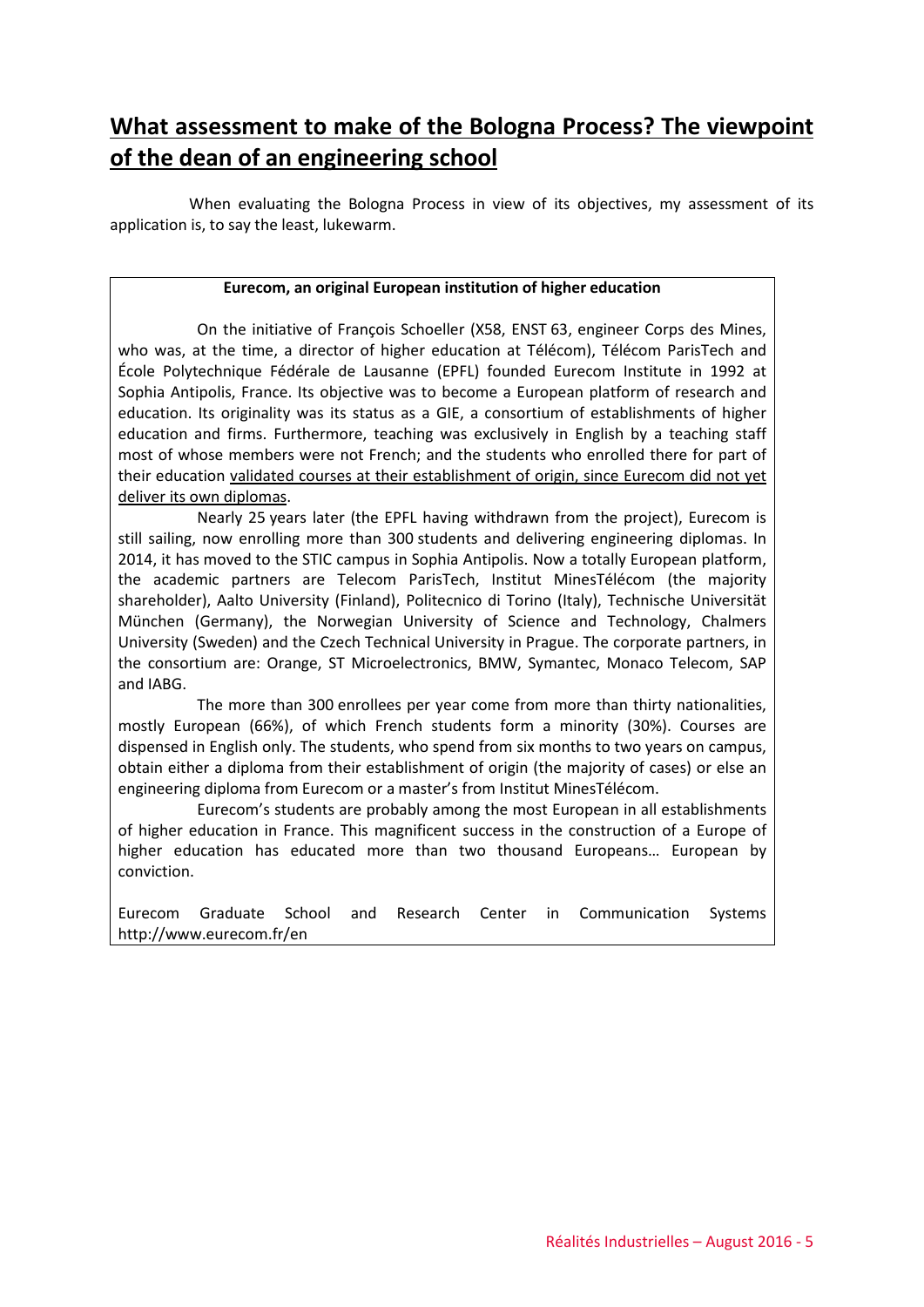## **What assessment to make of the Bologna Process? The viewpoint of the dean of an engineering school**

When evaluating the Bologna Process in view of its objectives, my assessment of its application is, to say the least, lukewarm.

### **Eurecom, an original European institution of higher education**

On the initiative of François Schoeller (X58, ENST 63, engineer Corps des Mines, who was, at the time, a director of higher education at Télécom), Télécom ParisTech and École Polytechnique Fédérale de Lausanne (EPFL) founded Eurecom Institute in 1992 at Sophia Antipolis, France. Its objective was to become a European platform of research and education. Its originality was its status as a GIE, a consortium of establishments of higher education and firms. Furthermore, teaching was exclusively in English by a teaching staff most of whose members were not French; and the students who enrolled there for part of their education validated courses at their establishment of origin, since Eurecom did not yet deliver its own diplomas.

Nearly 25 years later (the EPFL having withdrawn from the project), Eurecom is still sailing, now enrolling more than 300 students and delivering engineering diplomas. In 2014, it has moved to the STIC campus in Sophia Antipolis. Now a totally European platform, the academic partners are Telecom ParisTech, Institut MinesTélécom (the majority shareholder), Aalto University (Finland), Politecnico di Torino (Italy), Technische Universität München (Germany), the Norwegian University of Science and Technology, Chalmers University (Sweden) and the Czech Technical University in Prague. The corporate partners, in the consortium are: Orange, ST Microelectronics, BMW, Symantec, Monaco Telecom, SAP and IABG.

The more than 300 enrollees per year come from more than thirty nationalities, mostly European (66%), of which French students form a minority (30%). Courses are dispensed in English only. The students, who spend from six months to two years on campus, obtain either a diploma from their establishment of origin (the majority of cases) or else an engineering diploma from Eurecom or a master's from Institut MinesTélécom.

Eurecom's students are probably among the most European in all establishments of higher education in France. This magnificent success in the construction of a Europe of higher education has educated more than two thousand Europeans… European by conviction.

Eurecom Graduate School and Research Center in Communication Systems http://www.eurecom.fr/en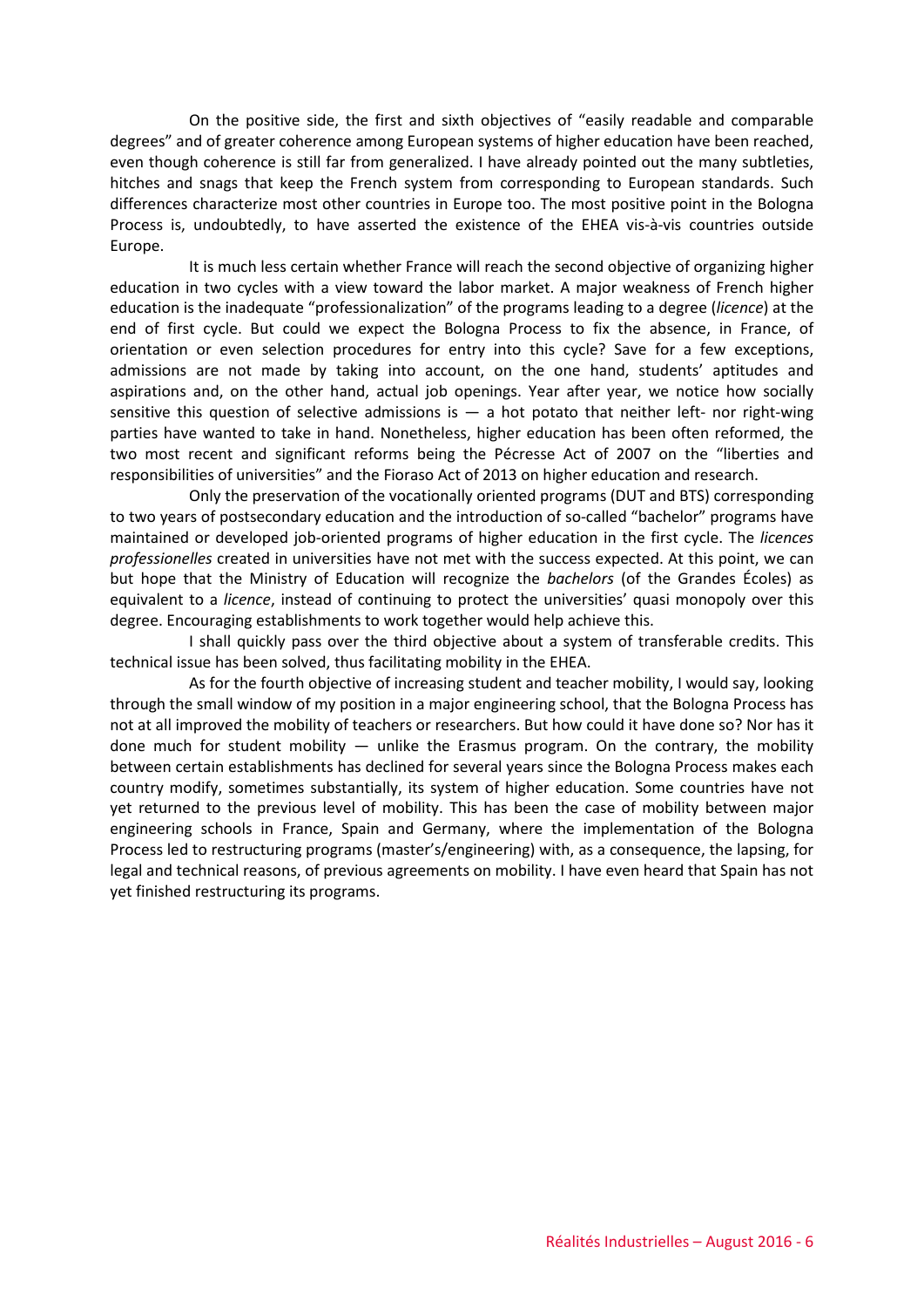On the positive side, the first and sixth objectives of "easily readable and comparable degrees" and of greater coherence among European systems of higher education have been reached, even though coherence is still far from generalized. I have already pointed out the many subtleties, hitches and snags that keep the French system from corresponding to European standards. Such differences characterize most other countries in Europe too. The most positive point in the Bologna Process is, undoubtedly, to have asserted the existence of the EHEA vis-à-vis countries outside Europe.

It is much less certain whether France will reach the second objective of organizing higher education in two cycles with a view toward the labor market. A major weakness of French higher education is the inadequate "professionalization" of the programs leading to a degree (*licence*) at the end of first cycle. But could we expect the Bologna Process to fix the absence, in France, of orientation or even selection procedures for entry into this cycle? Save for a few exceptions, admissions are not made by taking into account, on the one hand, students' aptitudes and aspirations and, on the other hand, actual job openings. Year after year, we notice how socially sensitive this question of selective admissions is  $-$  a hot potato that neither left- nor right-wing parties have wanted to take in hand. Nonetheless, higher education has been often reformed, the two most recent and significant reforms being the Pécresse Act of 2007 on the "liberties and responsibilities of universities" and the Fioraso Act of 2013 on higher education and research.

Only the preservation of the vocationally oriented programs (DUT and BTS) corresponding to two years of postsecondary education and the introduction of so-called "bachelor" programs have maintained or developed job-oriented programs of higher education in the first cycle. The *licences professionelles* created in universities have not met with the success expected. At this point, we can but hope that the Ministry of Education will recognize the *bachelors* (of the Grandes Écoles) as equivalent to a *licence*, instead of continuing to protect the universities' quasi monopoly over this degree. Encouraging establishments to work together would help achieve this.

I shall quickly pass over the third objective about a system of transferable credits. This technical issue has been solved, thus facilitating mobility in the EHEA.

As for the fourth objective of increasing student and teacher mobility, I would say, looking through the small window of my position in a major engineering school, that the Bologna Process has not at all improved the mobility of teachers or researchers. But how could it have done so? Nor has it done much for student mobility  $-$  unlike the Erasmus program. On the contrary, the mobility between certain establishments has declined for several years since the Bologna Process makes each country modify, sometimes substantially, its system of higher education. Some countries have not yet returned to the previous level of mobility. This has been the case of mobility between major engineering schools in France, Spain and Germany, where the implementation of the Bologna Process led to restructuring programs (master's/engineering) with, as a consequence, the lapsing, for legal and technical reasons, of previous agreements on mobility. I have even heard that Spain has not yet finished restructuring its programs.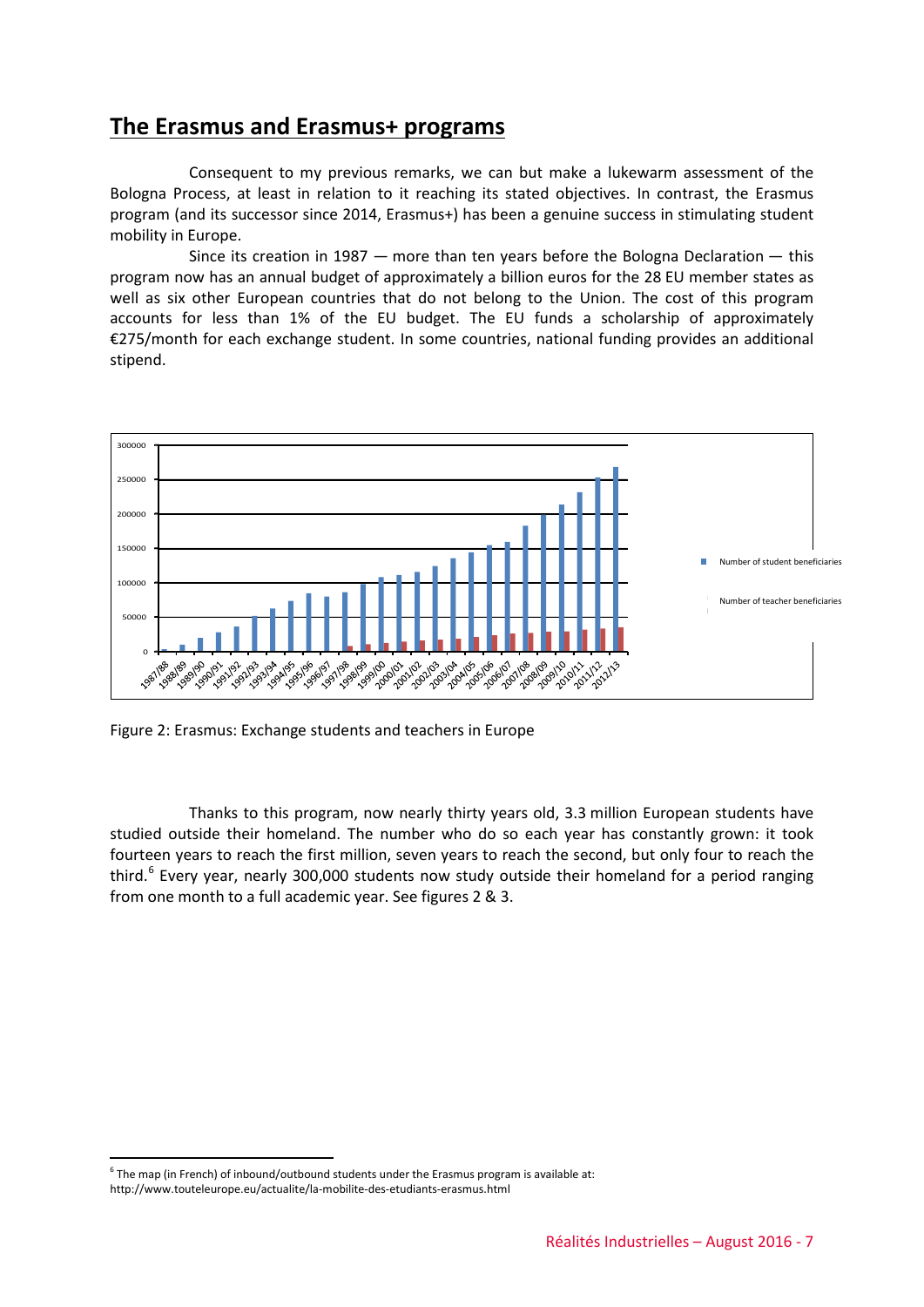### **The Erasmus and Erasmus+ programs**

Consequent to my previous remarks, we can but make a lukewarm assessment of the Bologna Process, at least in relation to it reaching its stated objectives. In contrast, the Erasmus program (and its successor since 2014, Erasmus+) has been a genuine success in stimulating student mobility in Europe.

Since its creation in 1987 — more than ten years before the Bologna Declaration — this program now has an annual budget of approximately a billion euros for the 28 EU member states as well as six other European countries that do not belong to the Union. The cost of this program accounts for less than 1% of the EU budget. The EU funds a scholarship of approximately €275/month for each exchange student. In some countries, national funding provides an additional stipend.



Figure 2: Erasmus: Exchange students and teachers in Europe

Thanks to this program, now nearly thirty years old, 3.3 million European students have studied outside their homeland. The number who do so each year has constantly grown: it took fourteen years to reach the first million, seven years to reach the second, but only four to reach the third.<sup>[6](#page-6-0)</sup> Every year, nearly 300,000 students now study outside their homeland for a period ranging from one month to a full academic year. See figures 2 & 3.

<span id="page-6-0"></span> $6$  The map (in French) of inbound/outbound students under the Erasmus program is available at:

http://www.touteleurope.eu/actualite/la-mobilite-des-etudiants-erasmus.html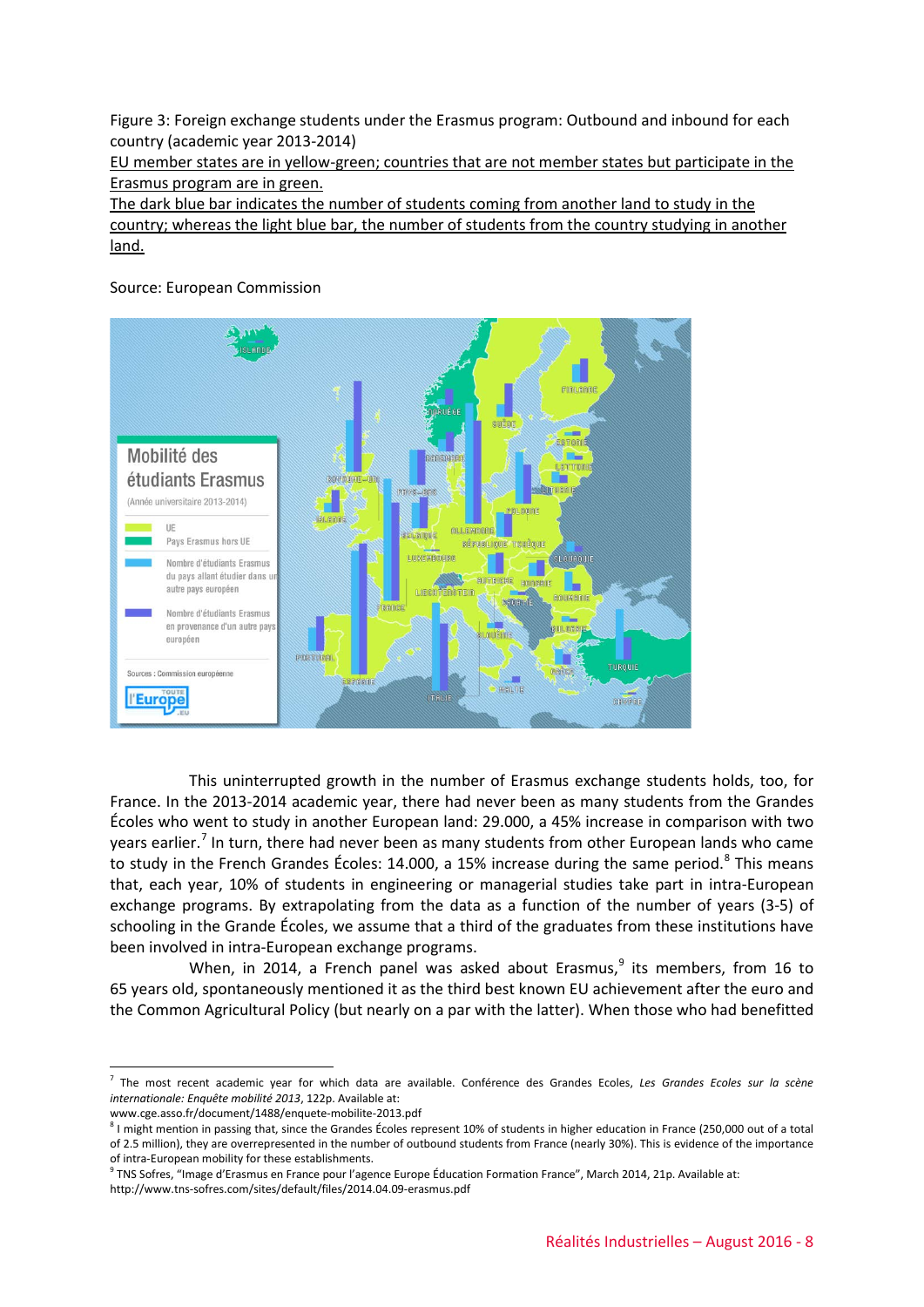Figure 3: Foreign exchange students under the Erasmus program: Outbound and inbound for each country (academic year 2013-2014)

EU member states are in yellow-green; countries that are not member states but participate in the Erasmus program are in green.

The dark blue bar indicates the number of students coming from another land to study in the country; whereas the light blue bar, the number of students from the country studying in another land.

Source: European Commission



This uninterrupted growth in the number of Erasmus exchange students holds, too, for France. In the 2013-2014 academic year, there had never been as many students from the Grandes Écoles who went to study in another European land: 29.000, a 45% increase in comparison with two years earlier.<sup>[7](#page-7-0)</sup> In turn, there had never been as many students from other European lands who came to study in the French Grandes Écoles: 14.000, a 15% increase during the same period. $8$  This means that, each year, 10% of students in engineering or managerial studies take part in intra-European exchange programs. By extrapolating from the data as a function of the number of years (3-5) of schooling in the Grande Écoles, we assume that a third of the graduates from these institutions have been involved in intra-European exchange programs.

When, in 2014, a French panel was asked about Erasmus, $9$  its members, from 16 to 65 years old, spontaneously mentioned it as the third best known EU achievement after the euro and the Common Agricultural Policy (but nearly on a par with the latter). When those who had benefitted

www.cge.asso.fr/document/1488/enquete-mobilite-2013.pdf

http://www.tns-sofres.com/sites/default/files/2014.04.09-erasmus.pdf

<span id="page-7-0"></span> <sup>7</sup> The most recent academic year for which data are available. Conférence des Grandes Ecoles, *Les Grandes Ecoles sur la scène internationale: Enquête mobilité 2013*, 122p. Available at:

<span id="page-7-1"></span><sup>&</sup>lt;sup>8</sup> I might mention in passing that, since the Grandes Écoles represent 10% of students in higher education in France (250,000 out of a total of 2.5 million), they are overrepresented in the number of outbound students from France (nearly 30%). This is evidence of the importance of intra-European mobility for these establishments.

<span id="page-7-2"></span><sup>9</sup> TNS Sofres, "Image d'Erasmus en France pour l'agence Europe Éducation Formation France", March 2014, 21p. Available at: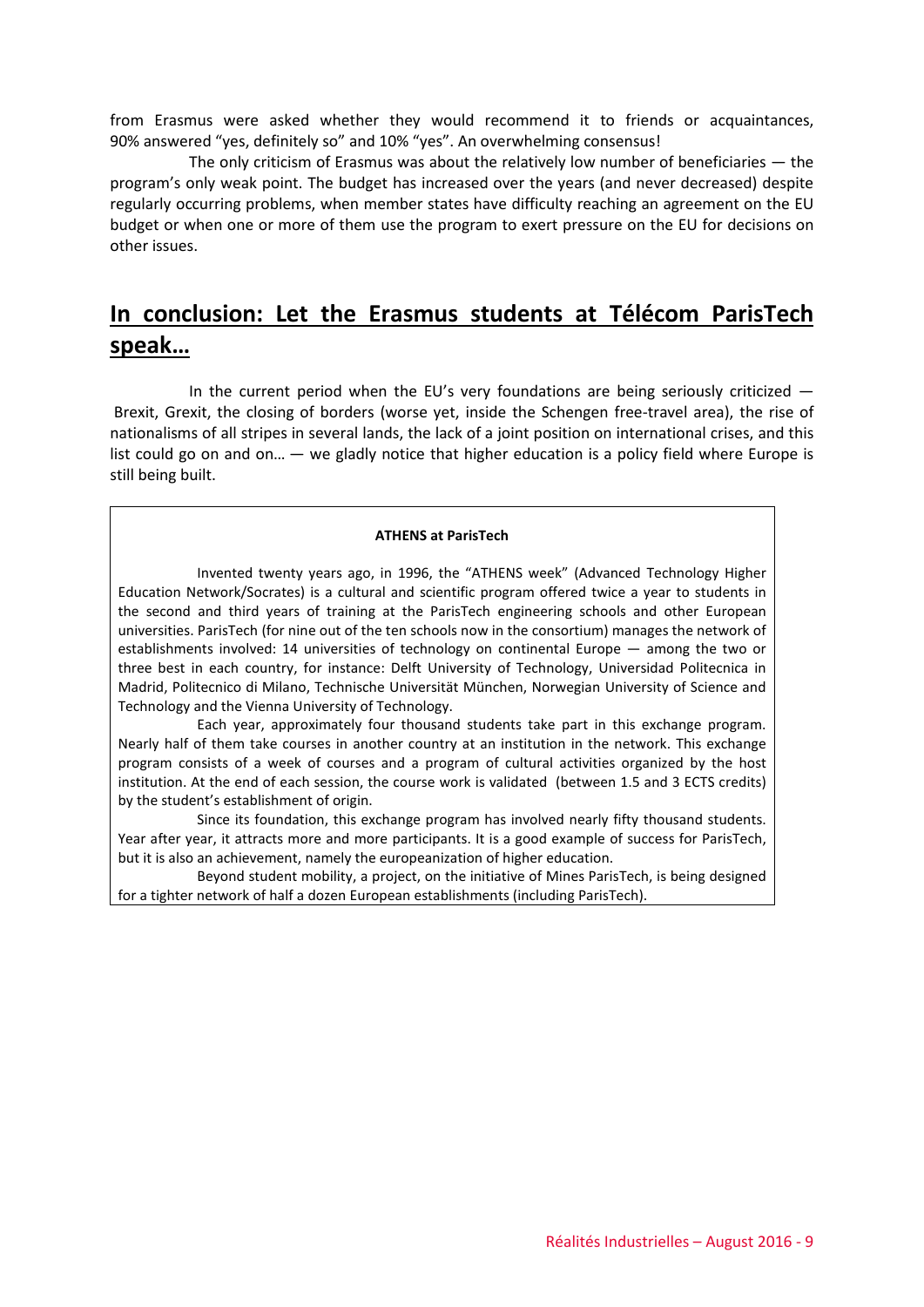from Erasmus were asked whether they would recommend it to friends or acquaintances, 90% answered "yes, definitely so" and 10% "yes". An overwhelming consensus!

The only criticism of Erasmus was about the relatively low number of beneficiaries — the program's only weak point. The budget has increased over the years (and never decreased) despite regularly occurring problems, when member states have difficulty reaching an agreement on the EU budget or when one or more of them use the program to exert pressure on the EU for decisions on other issues.

## **In conclusion: Let the Erasmus students at Télécom ParisTech speak…**

In the current period when the EU's very foundations are being seriously criticized  $-$ Brexit, Grexit, the closing of borders (worse yet, inside the Schengen free-travel area), the rise of nationalisms of all stripes in several lands, the lack of a joint position on international crises, and this list could go on and on… — we gladly notice that higher education is a policy field where Europe is still being built.

#### **ATHENS at ParisTech**

Invented twenty years ago, in 1996, the "ATHENS week" (Advanced Technology Higher Education Network/Socrates) is a cultural and scientific program offered twice a year to students in the second and third years of training at the ParisTech engineering schools and other European universities. ParisTech (for nine out of the ten schools now in the consortium) manages the network of establishments involved: 14 universities of technology on continental Europe — among the two or three best in each country, for instance: Delft University of Technology, Universidad Politecnica in Madrid, Politecnico di Milano, Technische Universität München, Norwegian University of Science and Technology and the Vienna University of Technology.

Each year, approximately four thousand students take part in this exchange program. Nearly half of them take courses in another country at an institution in the network. This exchange program consists of a week of courses and a program of cultural activities organized by the host institution. At the end of each session, the course work is validated (between 1.5 and 3 ECTS credits) by the student's establishment of origin.

Since its foundation, this exchange program has involved nearly fifty thousand students. Year after year, it attracts more and more participants. It is a good example of success for ParisTech, but it is also an achievement, namely the europeanization of higher education.

Beyond student mobility, a project, on the initiative of Mines ParisTech, is being designed for a tighter network of half a dozen European establishments (including ParisTech).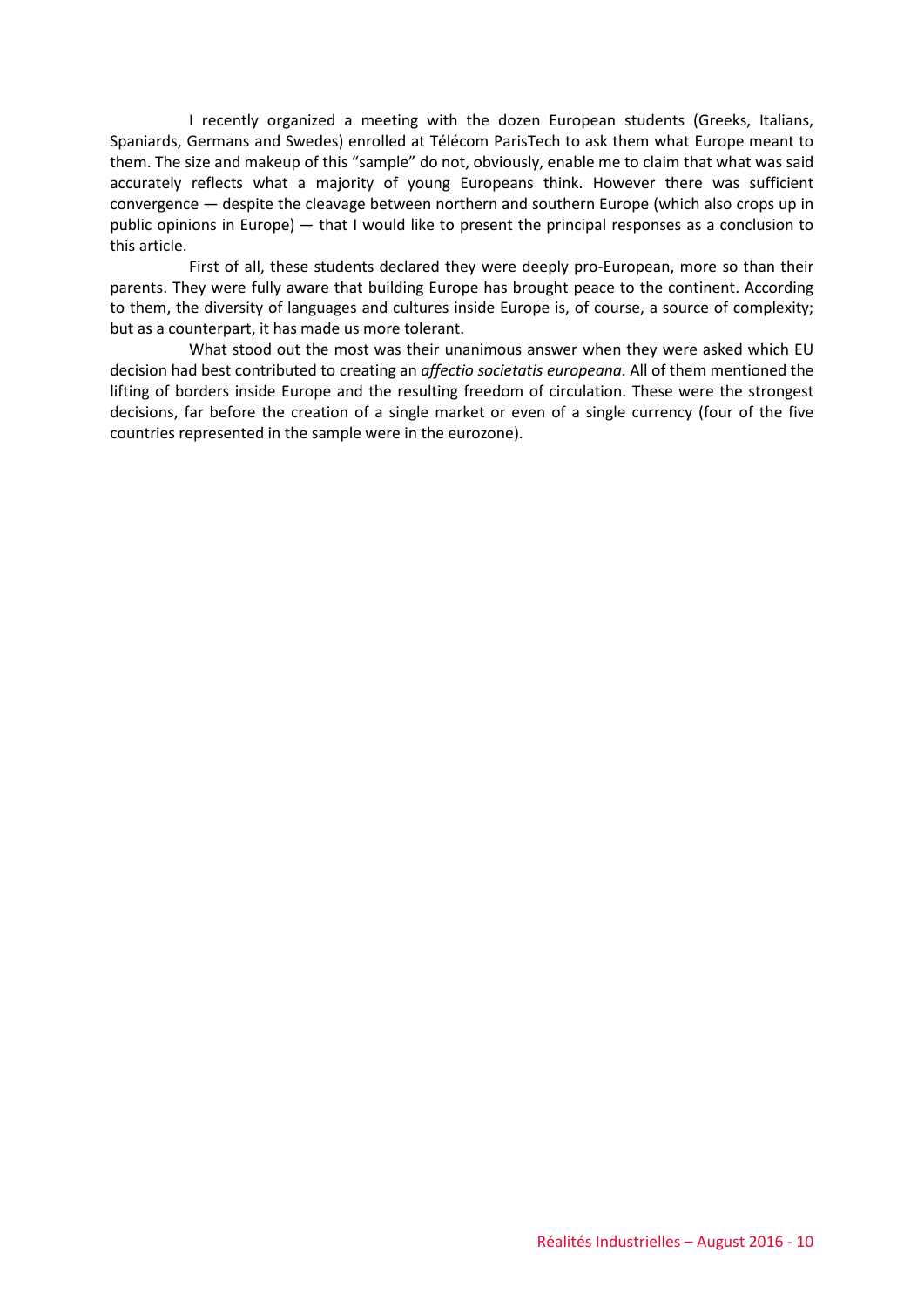I recently organized a meeting with the dozen European students (Greeks, Italians, Spaniards, Germans and Swedes) enrolled at Télécom ParisTech to ask them what Europe meant to them. The size and makeup of this "sample" do not, obviously, enable me to claim that what was said accurately reflects what a majority of young Europeans think. However there was sufficient convergence — despite the cleavage between northern and southern Europe (which also crops up in public opinions in Europe) — that I would like to present the principal responses as a conclusion to this article.

First of all, these students declared they were deeply pro-European, more so than their parents. They were fully aware that building Europe has brought peace to the continent. According to them, the diversity of languages and cultures inside Europe is, of course, a source of complexity; but as a counterpart, it has made us more tolerant.

What stood out the most was their unanimous answer when they were asked which EU decision had best contributed to creating an *affectio societatis europeana*. All of them mentioned the lifting of borders inside Europe and the resulting freedom of circulation. These were the strongest decisions, far before the creation of a single market or even of a single currency (four of the five countries represented in the sample were in the eurozone).